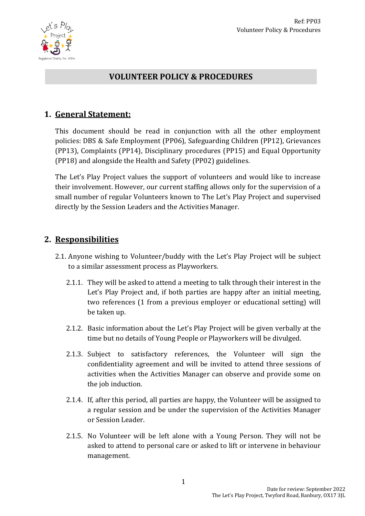

## **VOLUNTEER POLICY & PROCEDURES**

## **1. General Statement:**

This document should be read in conjunction with all the other employment policies: DBS & Safe Employment (PP06), Safeguarding Children (PP12), Grievances (PP13), Complaints (PP14), Disciplinary procedures (PP15) and Equal Opportunity (PP18) and alongside the Health and Safety (PP02) guidelines.

The Let's Play Project values the support of volunteers and would like to increase their involvement. However, our current staffing allows only for the supervision of a small number of regular Volunteers known to The Let's Play Project and supervised directly by the Session Leaders and the Activities Manager.

## **2. Responsibilities**

- 2.1. Anyone wishing to Volunteer/buddy with the Let's Play Project will be subject to a similar assessment process as Playworkers.
	- 2.1.1. They will be asked to attend a meeting to talk through their interest in the Let's Play Project and, if both parties are happy after an initial meeting, two references (1 from a previous employer or educational setting) will be taken up.
	- 2.1.2. Basic information about the Let's Play Project will be given verbally at the time but no details of Young People or Playworkers will be divulged.
	- 2.1.3. Subject to satisfactory references, the Volunteer will sign the confidentiality agreement and will be invited to attend three sessions of activities when the Activities Manager can observe and provide some on the job induction.
	- 2.1.4. If, after this period, all parties are happy, the Volunteer will be assigned to a regular session and be under the supervision of the Activities Manager or Session Leader.
	- 2.1.5. No Volunteer will be left alone with a Young Person. They will not be asked to attend to personal care or asked to lift or intervene in behaviour management.